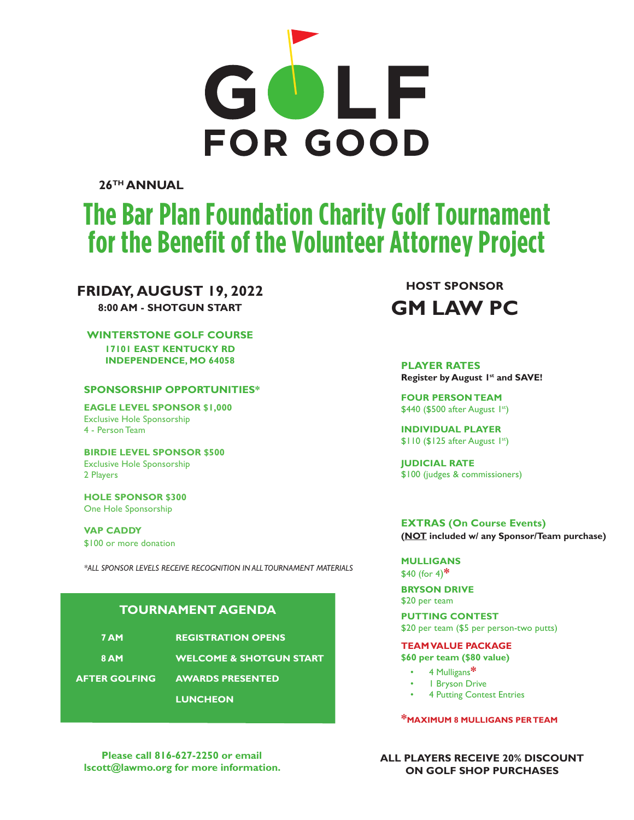

**26TH ANNUAL**

# **The Bar Plan Foundation Charity Golf Tournament for the Benefit of the Volunteer Attorney Project**

**Please call 816-421-8020 or email sign up today! lscott@lawmo.org for more information.**

### **FRIDAY, AUGUST 19, 2022**

**8:00 AM - SHOTGUN START**

#### **WINTERSTONE GOLF COURSE**

**17101 EAST KENTUCKY RD INDEPENDENCE, MO 64058**

#### **SPONSORSHIP OPPORTUNITIES\***

**EAGLE LEVEL SPONSOR \$1,000** Exclusive Hole Sponsorship 4 - Person Team

**BIRDIE LEVEL SPONSOR \$500** Exclusive Hole Sponsorship 2 Players

**HOLE SPONSOR \$300** One Hole Sponsorship

**VAP CADDY** \$100 or more donation

*\*ALL SPONSOR LEVELS RECEIVE RECOGNITION IN ALL TOURNAMENT MATERIALS*

#### **TOURNAMENT AGENDA**

| <b>7 AM</b>          | <b>REGISTRATION OPENS</b>          |  |
|----------------------|------------------------------------|--|
| 8 AM                 | <b>WELCOME &amp; SHOTGUN START</b> |  |
| <b>AFTER GOLFING</b> | <b>AWARDS PRESENTED</b>            |  |
|                      | <b>LUNCHEON</b>                    |  |

**Please call 816-627-2250 or email lscott@lawmo.org for more information.**

**HOST SPONSOR GM LAW PC** 

**Register by August 1st and SAVE! PLAYER RATES**

**FOUR PERSON TEAM** \$440 (\$500 after August 1st)

**INDIVIDUAL PLAYER** \$110 (\$125 after August 1st)

**JUDICIAL RATE** \$100 (judges & commissioners)

**EXTRAS (On Course Events) (NOT included w/ any Sponsor/Team purchase)**

**MULLIGANS** \$40 (for 4)**\***

**BRYSON DRIVE** \$20 per team

**PUTTING CONTEST** \$20 per team (\$5 per person-two putts)

#### **TEAM VALUE PACKAGE**

**\$60 per team (\$80 value)**

- 4 Mulligans**\***
- 1 Bryson Drive
- **4 Putting Contest Entries**

**\*MAXIMUM 8 MULLIGANS PER TEAM**

**ALL PLAYERS RECEIVE 20% DISCOUNT ON GOLF SHOP PURCHASES**